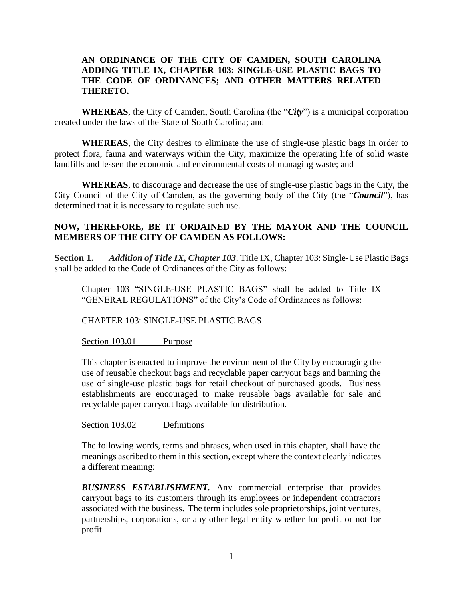## **AN ORDINANCE OF THE CITY OF CAMDEN, SOUTH CAROLINA ADDING TITLE IX, CHAPTER 103: SINGLE-USE PLASTIC BAGS TO THE CODE OF ORDINANCES; AND OTHER MATTERS RELATED THERETO.**

**WHEREAS**, the City of Camden, South Carolina (the "*City*") is a municipal corporation created under the laws of the State of South Carolina; and

**WHEREAS**, the City desires to eliminate the use of single-use plastic bags in order to protect flora, fauna and waterways within the City, maximize the operating life of solid waste landfills and lessen the economic and environmental costs of managing waste; and

**WHEREAS**, to discourage and decrease the use of single-use plastic bags in the City, the City Council of the City of Camden, as the governing body of the City (the "*Council*"), has determined that it is necessary to regulate such use.

# **NOW, THEREFORE, BE IT ORDAINED BY THE MAYOR AND THE COUNCIL MEMBERS OF THE CITY OF CAMDEN AS FOLLOWS:**

**Section 1.** *Addition of Title IX, Chapter 103*. Title IX, Chapter 103: Single-Use Plastic Bags shall be added to the Code of Ordinances of the City as follows:

Chapter 103 "SINGLE-USE PLASTIC BAGS" shall be added to Title IX "GENERAL REGULATIONS" of the City's Code of Ordinances as follows:

CHAPTER 103: SINGLE-USE PLASTIC BAGS

Section 103.01 Purpose

This chapter is enacted to improve the environment of the City by encouraging the use of reusable checkout bags and recyclable paper carryout bags and banning the use of single-use plastic bags for retail checkout of purchased goods. Business establishments are encouraged to make reusable bags available for sale and recyclable paper carryout bags available for distribution.

Section 103.02 Definitions

The following words, terms and phrases, when used in this chapter, shall have the meanings ascribed to them in this section, except where the context clearly indicates a different meaning:

*BUSINESS ESTABLISHMENT.* Any commercial enterprise that provides carryout bags to its customers through its employees or independent contractors associated with the business. The term includes sole proprietorships, joint ventures, partnerships, corporations, or any other legal entity whether for profit or not for profit.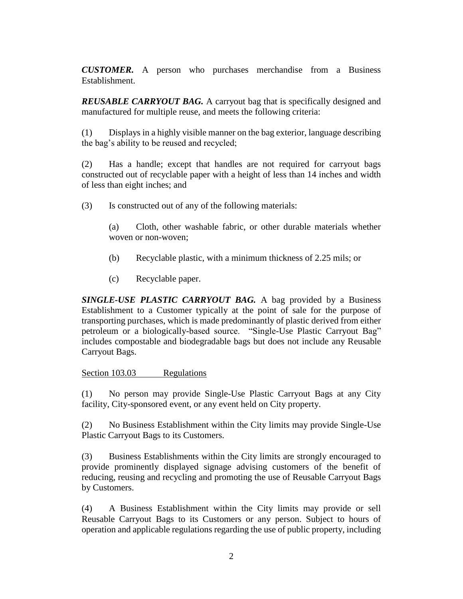*CUSTOMER.* A person who purchases merchandise from a Business Establishment.

*REUSABLE CARRYOUT BAG.* A carryout bag that is specifically designed and manufactured for multiple reuse, and meets the following criteria:

(1) Displays in a highly visible manner on the bag exterior, language describing the bag's ability to be reused and recycled;

(2) Has a handle; except that handles are not required for carryout bags constructed out of recyclable paper with a height of less than 14 inches and width of less than eight inches; and

(3) Is constructed out of any of the following materials:

(a) Cloth, other washable fabric, or other durable materials whether woven or non-woven;

- (b) Recyclable plastic, with a minimum thickness of 2.25 mils; or
- (c) Recyclable paper.

*SINGLE-USE PLASTIC CARRYOUT BAG.* A bag provided by a Business Establishment to a Customer typically at the point of sale for the purpose of transporting purchases, which is made predominantly of plastic derived from either petroleum or a biologically-based source. "Single-Use Plastic Carryout Bag" includes compostable and biodegradable bags but does not include any Reusable Carryout Bags.

#### Section 103.03 Regulations

(1) No person may provide Single-Use Plastic Carryout Bags at any City facility, City-sponsored event, or any event held on City property.

(2) No Business Establishment within the City limits may provide Single-Use Plastic Carryout Bags to its Customers.

(3) Business Establishments within the City limits are strongly encouraged to provide prominently displayed signage advising customers of the benefit of reducing, reusing and recycling and promoting the use of Reusable Carryout Bags by Customers.

(4) A Business Establishment within the City limits may provide or sell Reusable Carryout Bags to its Customers or any person. Subject to hours of operation and applicable regulations regarding the use of public property, including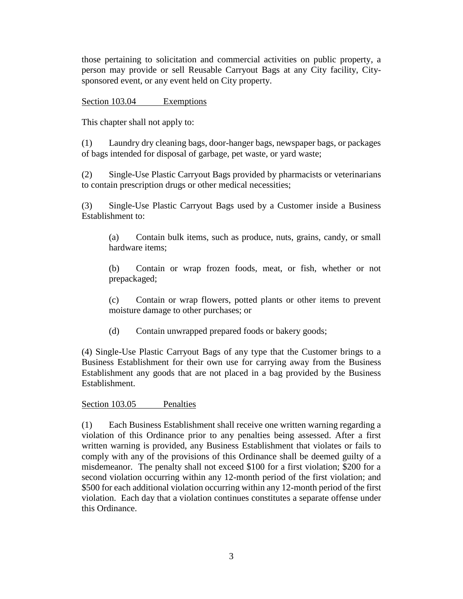those pertaining to solicitation and commercial activities on public property, a person may provide or sell Reusable Carryout Bags at any City facility, Citysponsored event, or any event held on City property.

## Section 103.04 Exemptions

This chapter shall not apply to:

(1) Laundry dry cleaning bags, door-hanger bags, newspaper bags, or packages of bags intended for disposal of garbage, pet waste, or yard waste;

(2) Single-Use Plastic Carryout Bags provided by pharmacists or veterinarians to contain prescription drugs or other medical necessities;

(3) Single-Use Plastic Carryout Bags used by a Customer inside a Business Establishment to:

(a) Contain bulk items, such as produce, nuts, grains, candy, or small hardware items;

(b) Contain or wrap frozen foods, meat, or fish, whether or not prepackaged;

(c) Contain or wrap flowers, potted plants or other items to prevent moisture damage to other purchases; or

(d) Contain unwrapped prepared foods or bakery goods;

(4) Single-Use Plastic Carryout Bags of any type that the Customer brings to a Business Establishment for their own use for carrying away from the Business Establishment any goods that are not placed in a bag provided by the Business Establishment.

#### Section 103.05 Penalties

(1) Each Business Establishment shall receive one written warning regarding a violation of this Ordinance prior to any penalties being assessed. After a first written warning is provided, any Business Establishment that violates or fails to comply with any of the provisions of this Ordinance shall be deemed guilty of a misdemeanor. The penalty shall not exceed \$100 for a first violation; \$200 for a second violation occurring within any 12-month period of the first violation; and \$500 for each additional violation occurring within any 12-month period of the first violation. Each day that a violation continues constitutes a separate offense under this Ordinance.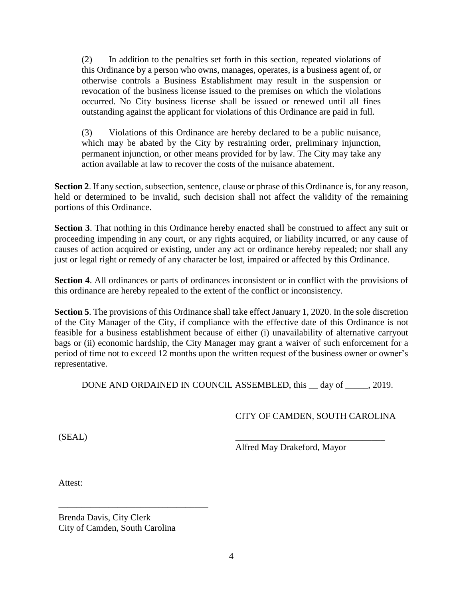(2) In addition to the penalties set forth in this section, repeated violations of this Ordinance by a person who owns, manages, operates, is a business agent of, or otherwise controls a Business Establishment may result in the suspension or revocation of the business license issued to the premises on which the violations occurred. No City business license shall be issued or renewed until all fines outstanding against the applicant for violations of this Ordinance are paid in full.

(3) Violations of this Ordinance are hereby declared to be a public nuisance, which may be abated by the City by restraining order, preliminary injunction, permanent injunction, or other means provided for by law. The City may take any action available at law to recover the costs of the nuisance abatement.

**Section 2**. If any section, subsection, sentence, clause or phrase of this Ordinance is, for any reason, held or determined to be invalid, such decision shall not affect the validity of the remaining portions of this Ordinance.

**Section 3**. That nothing in this Ordinance hereby enacted shall be construed to affect any suit or proceeding impending in any court, or any rights acquired, or liability incurred, or any cause of causes of action acquired or existing, under any act or ordinance hereby repealed; nor shall any just or legal right or remedy of any character be lost, impaired or affected by this Ordinance.

**Section 4**. All ordinances or parts of ordinances inconsistent or in conflict with the provisions of this ordinance are hereby repealed to the extent of the conflict or inconsistency.

**Section 5**. The provisions of this Ordinance shall take effect January 1, 2020. In the sole discretion of the City Manager of the City, if compliance with the effective date of this Ordinance is not feasible for a business establishment because of either (i) unavailability of alternative carryout bags or (ii) economic hardship, the City Manager may grant a waiver of such enforcement for a period of time not to exceed 12 months upon the written request of the business owner or owner's representative.

DONE AND ORDAINED IN COUNCIL ASSEMBLED, this <u>q</u> day of <u>quarentle</u>, 2019.

# CITY OF CAMDEN, SOUTH CAROLINA

 $(SEAL)$ 

Alfred May Drakeford, Mayor

Attest:

Brenda Davis, City Clerk City of Camden, South Carolina

\_\_\_\_\_\_\_\_\_\_\_\_\_\_\_\_\_\_\_\_\_\_\_\_\_\_\_\_\_\_\_\_\_